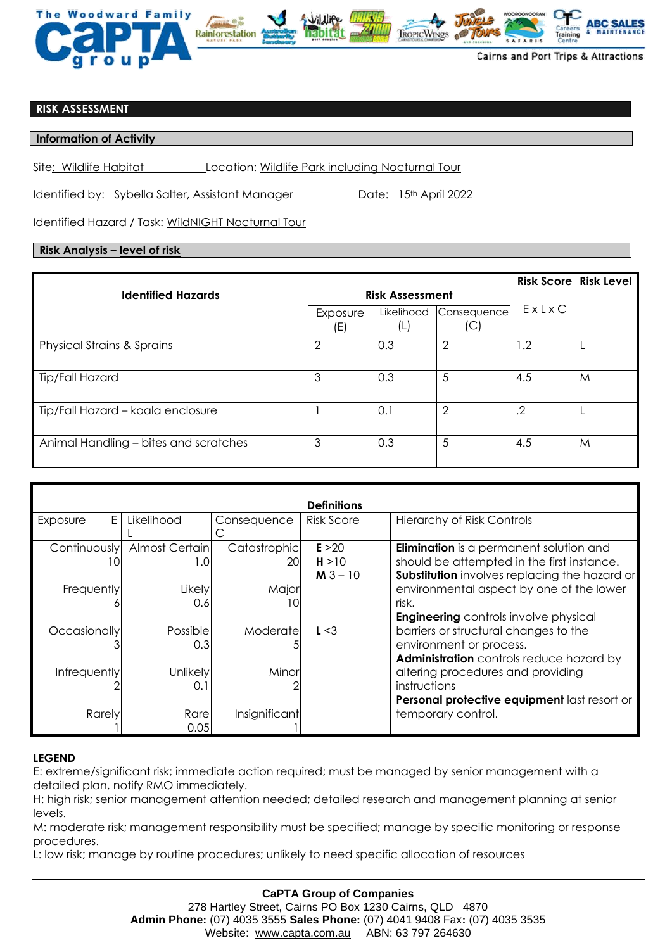

## **RISK ASSESSMENT**

**Information of Activity** 

Site: Wildlife Habitat \_ Location: Wildlife Park including Nocturnal Tour

Identified by: Sybella Salter, Assistant Manager Date: 15th April 2022

Identified Hazard / Task: WildNIGHT Nocturnal Tour

## **Risk Analysis – level of risk**

|                                       |                        |                   |                    |            | <b>Risk Score Risk Level</b> |
|---------------------------------------|------------------------|-------------------|--------------------|------------|------------------------------|
| <b>Identified Hazards</b>             | <b>Risk Assessment</b> |                   |                    |            |                              |
|                                       | Exposure<br>(E)        | Likelihood<br>(L) | Consequence<br>(C) | ExLxC      |                              |
| <b>Physical Strains &amp; Sprains</b> | 2                      | 0.3               | $\overline{2}$     | 1.2        |                              |
| Tip/Fall Hazard                       | 3                      | 0.3               | 5                  | 4.5        | M                            |
| Tip/Fall Hazard - koala enclosure     |                        | 0.1               | $\overline{2}$     | $\cdot$ .2 |                              |
| Animal Handling – bites and scratches | 3                      | 0.3               | 5                  | 4.5        | M                            |

| <b>Definitions</b> |                |               |                   |                                                |  |  |  |  |  |
|--------------------|----------------|---------------|-------------------|------------------------------------------------|--|--|--|--|--|
| E.<br>Exposure     | Likelihood     | Consequence   | <b>Risk Score</b> | <b>Hierarchy of Risk Controls</b>              |  |  |  |  |  |
|                    |                |               |                   |                                                |  |  |  |  |  |
| Continuously       | Almost Certain | Catastrophic  | E > 20            | <b>Elimination</b> is a permanent solution and |  |  |  |  |  |
| ΙU                 | 1.0            | <b>20l</b>    | H > 10            | should be attempted in the first instance.     |  |  |  |  |  |
|                    |                |               | $M3 - 10$         | Substitution involves replacing the hazard or  |  |  |  |  |  |
| Frequently         | Likely         | Major         |                   | environmental aspect by one of the lower       |  |  |  |  |  |
|                    | 0.6            | 10            |                   | risk.                                          |  |  |  |  |  |
|                    |                |               |                   | <b>Engineering</b> controls involve physical   |  |  |  |  |  |
| Occasionally       | Possible       | Moderate      | L < 3             | barriers or structural changes to the          |  |  |  |  |  |
|                    | 0.3            |               |                   | environment or process.                        |  |  |  |  |  |
|                    |                |               |                   | Administration controls reduce hazard by       |  |  |  |  |  |
| Infrequently       | Unlikely       | Minor         |                   | altering procedures and providing              |  |  |  |  |  |
|                    | 0.1            |               |                   | instructions                                   |  |  |  |  |  |
|                    |                |               |                   | Personal protective equipment last resort or   |  |  |  |  |  |
| Rarely             | Rare           | Insignificant |                   | temporary control.                             |  |  |  |  |  |
|                    | 0.05           |               |                   |                                                |  |  |  |  |  |

## **LEGEND**

E: extreme/significant risk; immediate action required; must be managed by senior management with a detailed plan, notify RMO immediately.

H: high risk; senior management attention needed; detailed research and management planning at senior levels.

M: moderate risk; management responsibility must be specified; manage by specific monitoring or response procedures.

L: low risk; manage by routine procedures; unlikely to need specific allocation of resources